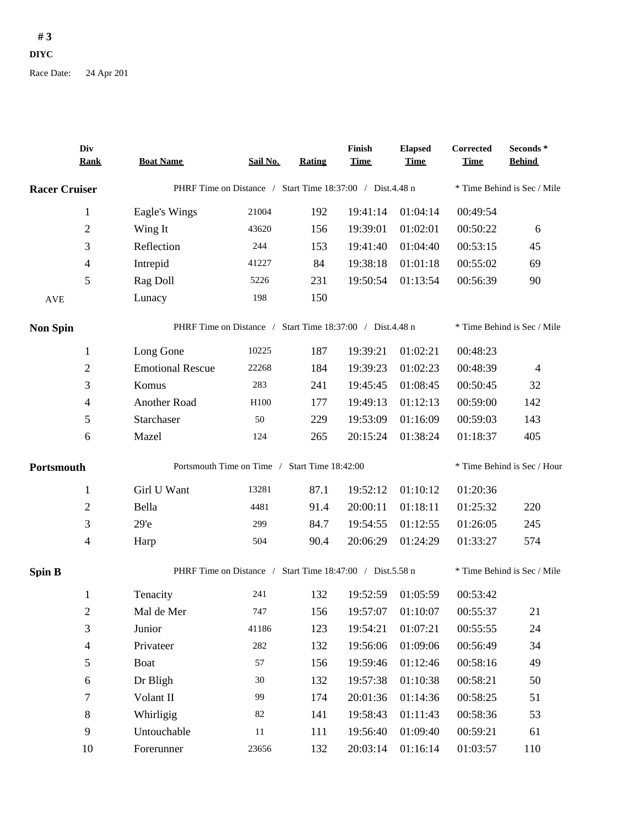## $#3$

**DIYC** 

Race Date: 24 Apr 201

| Div<br><b>Rank</b>       | <b>Boat Name</b>                                          | Sail No.                                                  | <b>Rating</b> | Finish<br><b>Time</b>       | <b>Elapsed</b><br><b>Time</b> | Corrected<br><b>Time</b> | Seconds*<br><b>Behind</b>   |  |
|--------------------------|-----------------------------------------------------------|-----------------------------------------------------------|---------------|-----------------------------|-------------------------------|--------------------------|-----------------------------|--|
| <b>Racer Cruiser</b>     | PHRF Time on Distance / Start Time 18:37:00 / Dist.4.48 n |                                                           |               |                             |                               |                          | * Time Behind is Sec / Mile |  |
| 1                        | Eagle's Wings                                             | 21004                                                     | 192           | 19:41:14                    | 01:04:14                      | 00:49:54                 |                             |  |
| $\overline{2}$           | Wing It                                                   | 43620                                                     | 156           | 19:39:01                    | 01:02:01                      | 00:50:22                 | 6                           |  |
| $\mathfrak{Z}$           | Reflection                                                | 244                                                       | 153           | 19:41:40                    | 01:04:40                      | 00:53:15                 | 45                          |  |
| $\overline{\mathcal{A}}$ | Intrepid                                                  | 41227                                                     | 84            | 19:38:18                    | 01:01:18                      | 00:55:02                 | 69                          |  |
| 5                        | Rag Doll                                                  | 5226                                                      | 231           | 19:50:54                    | 01:13:54                      | 00:56:39                 | 90                          |  |
| <b>AVE</b>               | Lunacy                                                    | 198                                                       | 150           |                             |                               |                          |                             |  |
| <b>Non Spin</b>          |                                                           | PHRF Time on Distance / Start Time 18:37:00 / Dist.4.48 n |               |                             |                               |                          | * Time Behind is Sec / Mile |  |
| $\mathbf{1}$             | Long Gone                                                 | 10225                                                     | 187           | 19:39:21                    | 01:02:21                      | 00:48:23                 |                             |  |
| $\sqrt{2}$               | <b>Emotional Rescue</b>                                   | 22268                                                     | 184           | 19:39:23                    | 01:02:23                      | 00:48:39                 | $\overline{4}$              |  |
| $\mathfrak{Z}$           | Komus                                                     | 283                                                       | 241           | 19:45:45                    | 01:08:45                      | 00:50:45                 | 32                          |  |
| $\overline{\mathcal{A}}$ | Another Road                                              | H <sub>100</sub>                                          | 177           | 19:49:13                    | 01:12:13                      | 00:59:00                 | 142                         |  |
| 5                        | Starchaser                                                | 50                                                        | 229           | 19:53:09                    | 01:16:09                      | 00:59:03                 | 143                         |  |
| 6                        | Mazel                                                     | 124                                                       | 265           | 20:15:24                    | 01:38:24                      | 01:18:37                 | 405                         |  |
| Portsmouth               |                                                           | Portsmouth Time on Time / Start Time 18:42:00             |               | * Time Behind is Sec / Hour |                               |                          |                             |  |
| 1                        | Girl U Want                                               | 13281                                                     | 87.1          | 19:52:12                    | 01:10:12                      | 01:20:36                 |                             |  |
| $\mathfrak{2}$           | Bella                                                     | 4481                                                      | 91.4          | 20:00:11                    | 01:18:11                      | 01:25:32                 | 220                         |  |
| 3                        | 29 <sup>o</sup>                                           | 299                                                       | 84.7          | 19:54:55                    | 01:12:55                      | 01:26:05                 | 245                         |  |
| $\overline{\mathcal{A}}$ | Harp                                                      | 504                                                       | 90.4          | 20:06:29                    | 01:24:29                      | 01:33:27                 | 574                         |  |
| <b>Spin B</b>            |                                                           | PHRF Time on Distance / Start Time 18:47:00 / Dist.5.58 n |               |                             |                               |                          | * Time Behind is Sec / Mile |  |
| 1                        | Tenacity                                                  | 241                                                       | 132           | 19:52:59                    | 01:05:59                      | 00:53:42                 |                             |  |
| $\boldsymbol{2}$         | Mal de Mer                                                | 747                                                       | 156           |                             | 19:57:07 01:10:07             | 00:55:37                 | 21                          |  |
| $\sqrt{3}$               | Junior                                                    | 41186                                                     | 123           | 19:54:21                    | 01:07:21                      | 00:55:55                 | 24                          |  |
| $\overline{4}$           | Privateer                                                 | $282\,$                                                   | 132           | 19:56:06                    | 01:09:06                      | 00:56:49                 | 34                          |  |
| $\sqrt{5}$               | <b>Boat</b>                                               | 57                                                        | 156           | 19:59:46                    | 01:12:46                      | 00:58:16                 | 49                          |  |
| $\epsilon$               | Dr Bligh                                                  | $30\,$                                                    | 132           | 19:57:38                    | 01:10:38                      | 00:58:21                 | 50                          |  |
| $\boldsymbol{7}$         | Volant II                                                 | 99                                                        | 174           | 20:01:36                    | 01:14:36                      | 00:58:25                 | 51                          |  |
| $\,8\,$                  | Whirligig                                                 | 82                                                        | 141           | 19:58:43                    | 01:11:43                      | 00:58:36                 | 53                          |  |
| 9                        | Untouchable                                               | 11                                                        | 111           | 19:56:40                    | 01:09:40                      | 00:59:21                 | 61                          |  |
| 10                       | Forerunner                                                | 23656                                                     | 132           |                             | 20:03:14 01:16:14             | 01:03:57                 | 110                         |  |